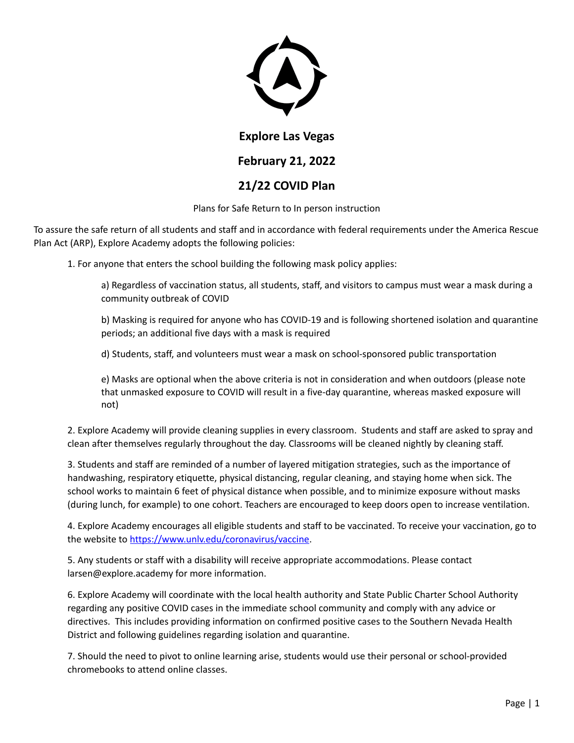

#### **Explore Las Vegas**

# **February 21, 2022**

### **21/22 COVID Plan**

Plans for Safe Return to In person instruction

To assure the safe return of all students and staff and in accordance with federal requirements under the America Rescue Plan Act (ARP), Explore Academy adopts the following policies:

1. For anyone that enters the school building the following mask policy applies:

a) Regardless of vaccination status, all students, staff, and visitors to campus must wear a mask during a community outbreak of COVID

b) Masking is required for anyone who has COVID-19 and is following shortened isolation and quarantine periods; an additional five days with a mask is required

d) Students, staff, and volunteers must wear a mask on school-sponsored public transportation

e) Masks are optional when the above criteria is not in consideration and when outdoors (please note that unmasked exposure to COVID will result in a five-day quarantine, whereas masked exposure will not)

2. Explore Academy will provide cleaning supplies in every classroom. Students and staff are asked to spray and clean after themselves regularly throughout the day. Classrooms will be cleaned nightly by cleaning staff.

3. Students and staff are reminded of a number of layered mitigation strategies, such as the importance of handwashing, respiratory etiquette, physical distancing, regular cleaning, and staying home when sick. The school works to maintain 6 feet of physical distance when possible, and to minimize exposure without masks (during lunch, for example) to one cohort. Teachers are encouraged to keep doors open to increase ventilation.

4. Explore Academy encourages all eligible students and staff to be vaccinated. To receive your vaccination, go to the website to https://www.unlv.edu/coronavirus/vaccine.

5. Any students or staff with a disability will receive appropriate accommodations. Please contact larsen@explore.academy for more information.

6. Explore Academy will coordinate with the local health authority and State Public Charter School Authority regarding any positive COVID cases in the immediate school community and comply with any advice or directives. This includes providing information on confirmed positive cases to the Southern Nevada Health District and following guidelines regarding isolation and quarantine.

7. Should the need to pivot to online learning arise, students would use their personal or school-provided chromebooks to attend online classes.